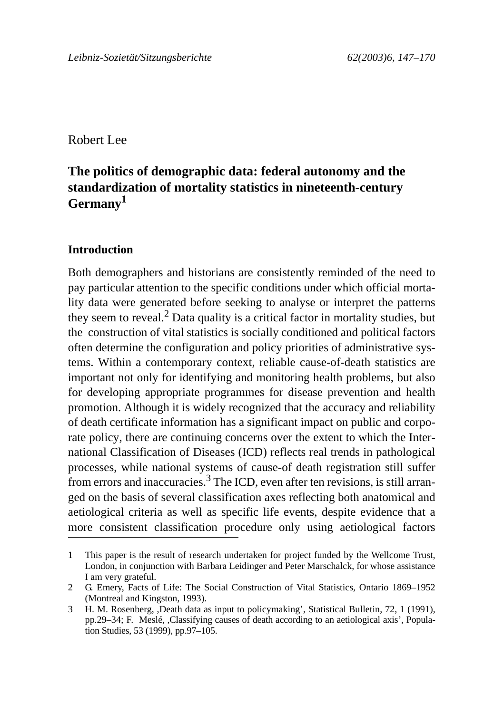Robert Lee

# **The politics of demographic data: federal autonomy and the standardization of mortality statistics in nineteenth-century Germany1**

## **Introduction**

Both demographers and historians are consistently reminded of the need to pay particular attention to the specific conditions under which official mortality data were generated before seeking to analyse or interpret the patterns they seem to reveal.<sup>2</sup> Data quality is a critical factor in mortality studies, but the construction of vital statistics is socially conditioned and political factors often determine the configuration and policy priorities of administrative systems. Within a contemporary context, reliable cause-of-death statistics are important not only for identifying and monitoring health problems, but also for developing appropriate programmes for disease prevention and health promotion. Although it is widely recognized that the accuracy and reliability of death certificate information has a significant impact on public and corporate policy, there are continuing concerns over the extent to which the International Classification of Diseases (ICD) reflects real trends in pathological processes, while national systems of cause-of death registration still suffer from errors and inaccuracies.<sup>3</sup> The ICD, even after ten revisions, is still arranged on the basis of several classification axes reflecting both anatomical and aetiological criteria as well as specific life events, despite evidence that a more consistent classification procedure only using aetiological factors

<sup>1</sup> This paper is the result of research undertaken for project funded by the Wellcome Trust, London, in conjunction with Barbara Leidinger and Peter Marschalck, for whose assistance I am very grateful.

<sup>2</sup> G. Emery, Facts of Life: The Social Construction of Vital Statistics, Ontario 1869–1952 (Montreal and Kingston, 1993).

<sup>3</sup> H. M. Rosenberg, ,Death data as input to policymaking', Statistical Bulletin, 72, 1 (1991), pp.29–34; F. Meslé, ,Classifying causes of death according to an aetiological axis', Population Studies, 53 (1999), pp.97–105.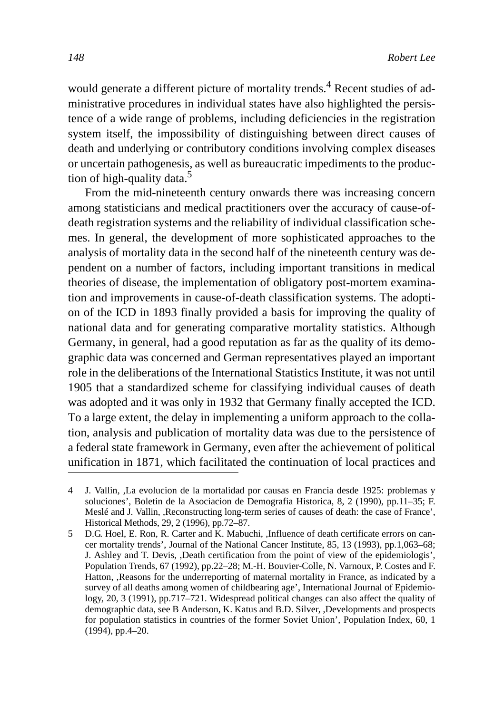would generate a different picture of mortality trends.<sup>4</sup> Recent studies of administrative procedures in individual states have also highlighted the persistence of a wide range of problems, including deficiencies in the registration system itself, the impossibility of distinguishing between direct causes of death and underlying or contributory conditions involving complex diseases or uncertain pathogenesis, as well as bureaucratic impediments to the production of high-quality data.<sup>5</sup>

From the mid-nineteenth century onwards there was increasing concern among statisticians and medical practitioners over the accuracy of cause-ofdeath registration systems and the reliability of individual classification schemes. In general, the development of more sophisticated approaches to the analysis of mortality data in the second half of the nineteenth century was dependent on a number of factors, including important transitions in medical theories of disease, the implementation of obligatory post-mortem examination and improvements in cause-of-death classification systems. The adoption of the ICD in 1893 finally provided a basis for improving the quality of national data and for generating comparative mortality statistics. Although Germany, in general, had a good reputation as far as the quality of its demographic data was concerned and German representatives played an important role in the deliberations of the International Statistics Institute, it was not until 1905 that a standardized scheme for classifying individual causes of death was adopted and it was only in 1932 that Germany finally accepted the ICD. To a large extent, the delay in implementing a uniform approach to the collation, analysis and publication of mortality data was due to the persistence of a federal state framework in Germany, even after the achievement of political unification in 1871, which facilitated the continuation of local practices and

<sup>4</sup> J. Vallin, ,La evolucion de la mortalidad por causas en Francia desde 1925: problemas y soluciones', Boletin de la Asociacion de Demografia Historica, 8, 2 (1990), pp.11–35; F. Meslé and J. Vallin, ,Reconstructing long-term series of causes of death: the case of France', Historical Methods, 29, 2 (1996), pp.72–87.

<sup>5</sup> D.G. Hoel, E. Ron, R. Carter and K. Mabuchi, ,Influence of death certificate errors on cancer mortality trends', Journal of the National Cancer Institute, 85, 13 (1993), pp.1,063–68; J. Ashley and T. Devis, ,Death certification from the point of view of the epidemiologis', Population Trends, 67 (1992), pp.22–28; M.-H. Bouvier-Colle, N. Varnoux, P. Costes and F. Hatton, ,Reasons for the underreporting of maternal mortality in France, as indicated by a survey of all deaths among women of childbearing age', International Journal of Epidemiology, 20, 3 (1991), pp.717–721. Widespread political changes can also affect the quality of demographic data, see B Anderson, K. Katus and B.D. Silver, ,Developments and prospects for population statistics in countries of the former Soviet Union', Population Index, 60, 1 (1994), pp.4–20.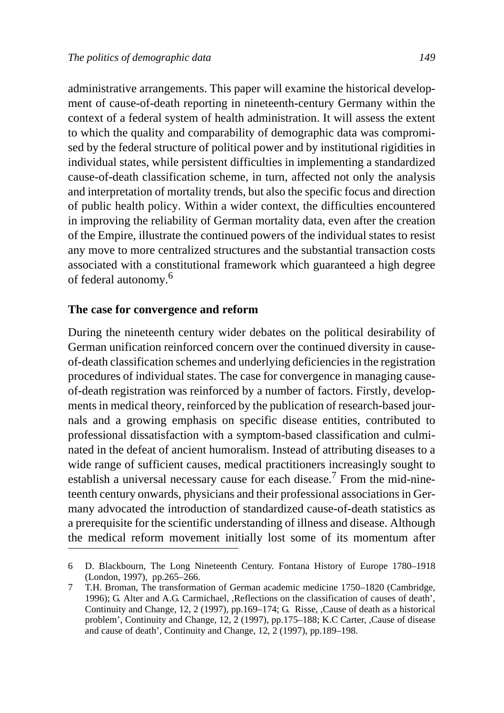administrative arrangements. This paper will examine the historical development of cause-of-death reporting in nineteenth-century Germany within the context of a federal system of health administration. It will assess the extent to which the quality and comparability of demographic data was compromised by the federal structure of political power and by institutional rigidities in individual states, while persistent difficulties in implementing a standardized cause-of-death classification scheme, in turn, affected not only the analysis and interpretation of mortality trends, but also the specific focus and direction of public health policy. Within a wider context, the difficulties encountered in improving the reliability of German mortality data, even after the creation of the Empire, illustrate the continued powers of the individual states to resist any move to more centralized structures and the substantial transaction costs associated with a constitutional framework which guaranteed a high degree of federal autonomy.<sup>6</sup>

#### **The case for convergence and reform**

During the nineteenth century wider debates on the political desirability of German unification reinforced concern over the continued diversity in causeof-death classification schemes and underlying deficiencies in the registration procedures of individual states. The case for convergence in managing causeof-death registration was reinforced by a number of factors. Firstly, developments in medical theory, reinforced by the publication of research-based journals and a growing emphasis on specific disease entities, contributed to professional dissatisfaction with a symptom-based classification and culminated in the defeat of ancient humoralism. Instead of attributing diseases to a wide range of sufficient causes, medical practitioners increasingly sought to establish a universal necessary cause for each disease.<sup>7</sup> From the mid-nineteenth century onwards, physicians and their professional associations in Germany advocated the introduction of standardized cause-of-death statistics as a prerequisite for the scientific understanding of illness and disease. Although the medical reform movement initially lost some of its momentum after

<sup>6</sup> D. Blackbourn, The Long Nineteenth Century. Fontana History of Europe 1780–1918 (London, 1997), pp.265–266.

<sup>7</sup> T.H. Broman, The transformation of German academic medicine 1750–1820 (Cambridge, 1996); G. Alter and A.G. Carmichael, ,Reflections on the classification of causes of death', Continuity and Change, 12, 2 (1997), pp.169–174; G. Risse, ,Cause of death as a historical problem', Continuity and Change, 12, 2 (1997), pp.175–188; K.C Carter, ,Cause of disease and cause of death', Continuity and Change, 12, 2 (1997), pp.189–198.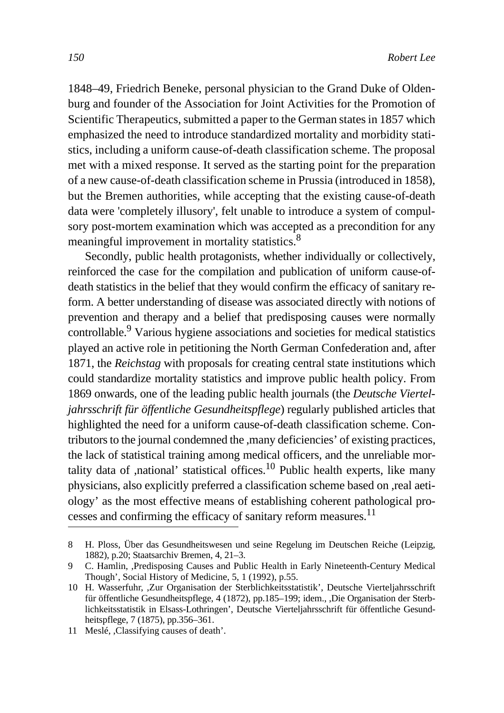1848–49, Friedrich Beneke, personal physician to the Grand Duke of Oldenburg and founder of the Association for Joint Activities for the Promotion of Scientific Therapeutics, submitted a paper to the German states in 1857 which emphasized the need to introduce standardized mortality and morbidity statistics, including a uniform cause-of-death classification scheme. The proposal met with a mixed response. It served as the starting point for the preparation of a new cause-of-death classification scheme in Prussia (introduced in 1858), but the Bremen authorities, while accepting that the existing cause-of-death data were 'completely illusory', felt unable to introduce a system of compulsory post-mortem examination which was accepted as a precondition for any meaningful improvement in mortality statistics.<sup>8</sup>

Secondly, public health protagonists, whether individually or collectively, reinforced the case for the compilation and publication of uniform cause-ofdeath statistics in the belief that they would confirm the efficacy of sanitary reform. A better understanding of disease was associated directly with notions of prevention and therapy and a belief that predisposing causes were normally controllable.9 Various hygiene associations and societies for medical statistics played an active role in petitioning the North German Confederation and, after 1871, the *Reichstag* with proposals for creating central state institutions which could standardize mortality statistics and improve public health policy. From 1869 onwards, one of the leading public health journals (the *Deutsche Vierteljahrsschrift für öffentliche Gesundheitspflege*) regularly published articles that highlighted the need for a uniform cause-of-death classification scheme. Contributors to the journal condemned the ,many deficiencies' of existing practices, the lack of statistical training among medical officers, and the unreliable mortality data of ,national' statistical offices.<sup>10</sup> Public health experts, like many physicians, also explicitly preferred a classification scheme based on ,real aetiology' as the most effective means of establishing coherent pathological processes and confirming the efficacy of sanitary reform measures.<sup>11</sup>

<sup>8</sup> H. Ploss, Über das Gesundheitswesen und seine Regelung im Deutschen Reiche (Leipzig, 1882), p.20; Staatsarchiv Bremen, 4, 21–3.

<sup>9</sup> C. Hamlin, ,Predisposing Causes and Public Health in Early Nineteenth-Century Medical Though', Social History of Medicine, 5, 1 (1992), p.55.

<sup>10</sup> H. Wasserfuhr, ,Zur Organisation der Sterblichkeitsstatistik', Deutsche Vierteljahrsschrift für öffentliche Gesundheitspflege, 4 (1872), pp.185–199; idem., ,Die Organisation der Sterblichkeitsstatistik in Elsass-Lothringen', Deutsche Vierteljahrsschrift für öffentliche Gesundheitspflege, 7 (1875), pp.356–361.

<sup>11</sup> Meslé, ,Classifying causes of death'.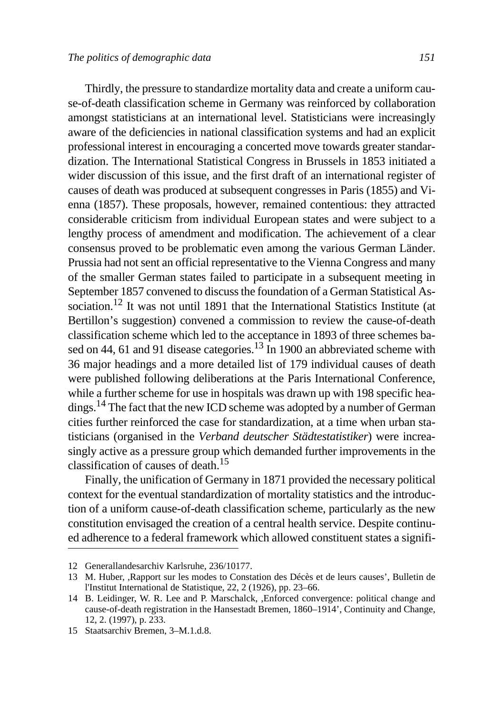Thirdly, the pressure to standardize mortality data and create a uniform cause-of-death classification scheme in Germany was reinforced by collaboration amongst statisticians at an international level. Statisticians were increasingly aware of the deficiencies in national classification systems and had an explicit professional interest in encouraging a concerted move towards greater standardization. The International Statistical Congress in Brussels in 1853 initiated a wider discussion of this issue, and the first draft of an international register of causes of death was produced at subsequent congresses in Paris (1855) and Vienna (1857). These proposals, however, remained contentious: they attracted considerable criticism from individual European states and were subject to a lengthy process of amendment and modification. The achievement of a clear consensus proved to be problematic even among the various German Länder. Prussia had not sent an official representative to the Vienna Congress and many of the smaller German states failed to participate in a subsequent meeting in September 1857 convened to discuss the foundation of a German Statistical Association.<sup>12</sup> It was not until 1891 that the International Statistics Institute (at Bertillon's suggestion) convened a commission to review the cause-of-death classification scheme which led to the acceptance in 1893 of three schemes based on 44, 61 and 91 disease categories.<sup>13</sup> In 1900 an abbreviated scheme with 36 major headings and a more detailed list of 179 individual causes of death were published following deliberations at the Paris International Conference, while a further scheme for use in hospitals was drawn up with 198 specific headings.14 The fact that the new ICD scheme was adopted by a number of German cities further reinforced the case for standardization, at a time when urban statisticians (organised in the *Verband deutscher Städtestatistiker*) were increasingly active as a pressure group which demanded further improvements in the classification of causes of death.15

Finally, the unification of Germany in 1871 provided the necessary political context for the eventual standardization of mortality statistics and the introduction of a uniform cause-of-death classification scheme, particularly as the new constitution envisaged the creation of a central health service. Despite continued adherence to a federal framework which allowed constituent states a signifi-

<sup>12</sup> Generallandesarchiv Karlsruhe, 236/10177.

<sup>13</sup> M. Huber, ,Rapport sur les modes to Constation des Décès et de leurs causes', Bulletin de l'Institut International de Statistique, 22, 2 (1926), pp. 23–66.

<sup>14</sup> B. Leidinger, W. R. Lee and P. Marschalck, ,Enforced convergence: political change and cause-of-death registration in the Hansestadt Bremen, 1860–1914', Continuity and Change, 12, 2. (1997), p. 233.

<sup>15</sup> Staatsarchiv Bremen, 3–M.1.d.8.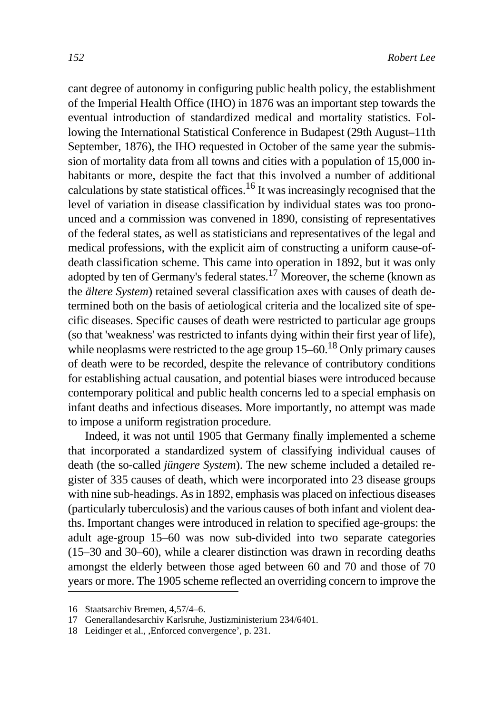cant degree of autonomy in configuring public health policy, the establishment of the Imperial Health Office (IHO) in 1876 was an important step towards the eventual introduction of standardized medical and mortality statistics. Following the International Statistical Conference in Budapest (29th August–11th September, 1876), the IHO requested in October of the same year the submission of mortality data from all towns and cities with a population of 15,000 inhabitants or more, despite the fact that this involved a number of additional calculations by state statistical offices.<sup>16</sup> It was increasingly recognised that the level of variation in disease classification by individual states was too pronounced and a commission was convened in 1890, consisting of representatives of the federal states, as well as statisticians and representatives of the legal and medical professions, with the explicit aim of constructing a uniform cause-ofdeath classification scheme. This came into operation in 1892, but it was only adopted by ten of Germany's federal states.<sup>17</sup> Moreover, the scheme (known as the *ältere System*) retained several classification axes with causes of death determined both on the basis of aetiological criteria and the localized site of specific diseases. Specific causes of death were restricted to particular age groups (so that 'weakness' was restricted to infants dying within their first year of life), while neoplasms were restricted to the age group  $15-60$ .<sup>18</sup> Only primary causes of death were to be recorded, despite the relevance of contributory conditions for establishing actual causation, and potential biases were introduced because contemporary political and public health concerns led to a special emphasis on infant deaths and infectious diseases. More importantly, no attempt was made to impose a uniform registration procedure.

Indeed, it was not until 1905 that Germany finally implemented a scheme that incorporated a standardized system of classifying individual causes of death (the so-called *jüngere System*). The new scheme included a detailed register of 335 causes of death, which were incorporated into 23 disease groups with nine sub-headings. As in 1892, emphasis was placed on infectious diseases (particularly tuberculosis) and the various causes of both infant and violent deaths. Important changes were introduced in relation to specified age-groups: the adult age-group 15–60 was now sub-divided into two separate categories (15–30 and 30–60), while a clearer distinction was drawn in recording deaths amongst the elderly between those aged between 60 and 70 and those of 70 years or more. The 1905 scheme reflected an overriding concern to improve the

<sup>16</sup> Staatsarchiv Bremen, 4,57/4–6.

<sup>17</sup> Generallandesarchiv Karlsruhe, Justizministerium 234/6401.

<sup>18</sup> Leidinger et al., ,Enforced convergence', p. 231.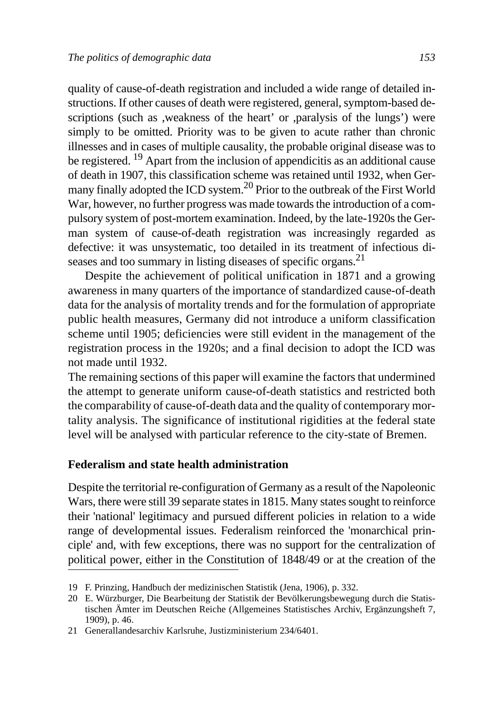quality of cause-of-death registration and included a wide range of detailed instructions. If other causes of death were registered, general, symptom-based descriptions (such as ,weakness of the heart' or ,paralysis of the lungs') were simply to be omitted. Priority was to be given to acute rather than chronic illnesses and in cases of multiple causality, the probable original disease was to be registered. 19 Apart from the inclusion of appendicitis as an additional cause of death in 1907, this classification scheme was retained until 1932, when Germany finally adopted the ICD system.<sup>20</sup> Prior to the outbreak of the First World War, however, no further progress was made towards the introduction of a compulsory system of post-mortem examination. Indeed, by the late-1920s the German system of cause-of-death registration was increasingly regarded as defective: it was unsystematic, too detailed in its treatment of infectious diseases and too summary in listing diseases of specific organs.<sup>21</sup>

Despite the achievement of political unification in 1871 and a growing awareness in many quarters of the importance of standardized cause-of-death data for the analysis of mortality trends and for the formulation of appropriate public health measures, Germany did not introduce a uniform classification scheme until 1905; deficiencies were still evident in the management of the registration process in the 1920s; and a final decision to adopt the ICD was not made until 1932.

The remaining sections of this paper will examine the factors that undermined the attempt to generate uniform cause-of-death statistics and restricted both the comparability of cause-of-death data and the quality of contemporary mortality analysis. The significance of institutional rigidities at the federal state level will be analysed with particular reference to the city-state of Bremen.

#### **Federalism and state health administration**

Despite the territorial re-configuration of Germany as a result of the Napoleonic Wars, there were still 39 separate states in 1815. Many states sought to reinforce their 'national' legitimacy and pursued different policies in relation to a wide range of developmental issues. Federalism reinforced the 'monarchical principle' and, with few exceptions, there was no support for the centralization of political power, either in the Constitution of 1848/49 or at the creation of the

<sup>19</sup> F. Prinzing, Handbuch der medizinischen Statistik (Jena, 1906), p. 332.

<sup>20</sup> E. Würzburger, Die Bearbeitung der Statistik der Bevölkerungsbewegung durch die Statistischen Ämter im Deutschen Reiche (Allgemeines Statistisches Archiv, Ergänzungsheft 7, 1909), p. 46.

<sup>21</sup> Generallandesarchiv Karlsruhe, Justizministerium 234/6401.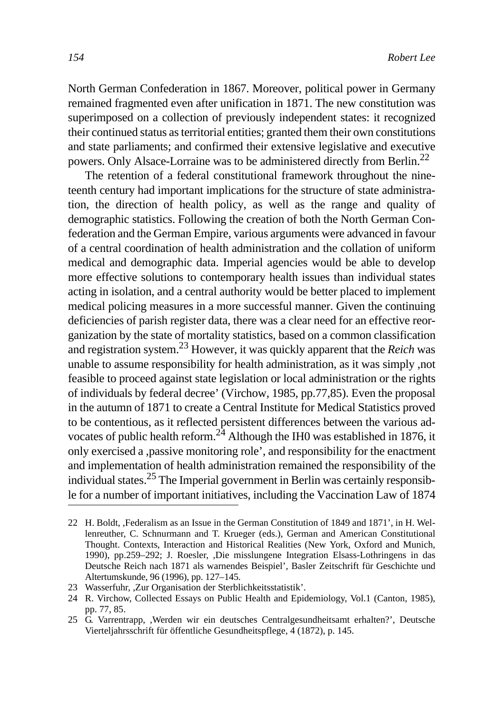North German Confederation in 1867. Moreover, political power in Germany remained fragmented even after unification in 1871. The new constitution was superimposed on a collection of previously independent states: it recognized their continued status as territorial entities; granted them their own constitutions and state parliaments; and confirmed their extensive legislative and executive powers. Only Alsace-Lorraine was to be administered directly from Berlin.22

The retention of a federal constitutional framework throughout the nineteenth century had important implications for the structure of state administration, the direction of health policy, as well as the range and quality of demographic statistics. Following the creation of both the North German Confederation and the German Empire, various arguments were advanced in favour of a central coordination of health administration and the collation of uniform medical and demographic data. Imperial agencies would be able to develop more effective solutions to contemporary health issues than individual states acting in isolation, and a central authority would be better placed to implement medical policing measures in a more successful manner. Given the continuing deficiencies of parish register data, there was a clear need for an effective reorganization by the state of mortality statistics, based on a common classification and registration system.23 However, it was quickly apparent that the *Reich* was unable to assume responsibility for health administration, as it was simply ,not feasible to proceed against state legislation or local administration or the rights of individuals by federal decree' (Virchow, 1985, pp.77,85). Even the proposal in the autumn of 1871 to create a Central Institute for Medical Statistics proved to be contentious, as it reflected persistent differences between the various advocates of public health reform.<sup>24</sup> Although the IH0 was established in 1876, it only exercised a ,passive monitoring role', and responsibility for the enactment and implementation of health administration remained the responsibility of the individual states.<sup>25</sup> The Imperial government in Berlin was certainly responsible for a number of important initiatives, including the Vaccination Law of 1874

<sup>22</sup> H. Boldt, ,Federalism as an Issue in the German Constitution of 1849 and 1871', in H. Wellenreuther, C. Schnurmann and T. Krueger (eds.), German and American Constitutional Thought. Contexts, Interaction and Historical Realities (New York, Oxford and Munich, 1990), pp.259–292; J. Roesler, ,Die misslungene Integration Elsass-Lothringens in das Deutsche Reich nach 1871 als warnendes Beispiel', Basler Zeitschrift für Geschichte und Altertumskunde, 96 (1996), pp. 127–145.

<sup>23</sup> Wasserfuhr, ,Zur Organisation der Sterblichkeitsstatistik'.

<sup>24</sup> R. Virchow, Collected Essays on Public Health and Epidemiology, Vol.1 (Canton, 1985), pp. 77, 85.

<sup>25</sup> G. Varrentrapp, ,Werden wir ein deutsches Centralgesundheitsamt erhalten?', Deutsche Vierteljahrsschrift für öffentliche Gesundheitspflege, 4 (1872), p. 145.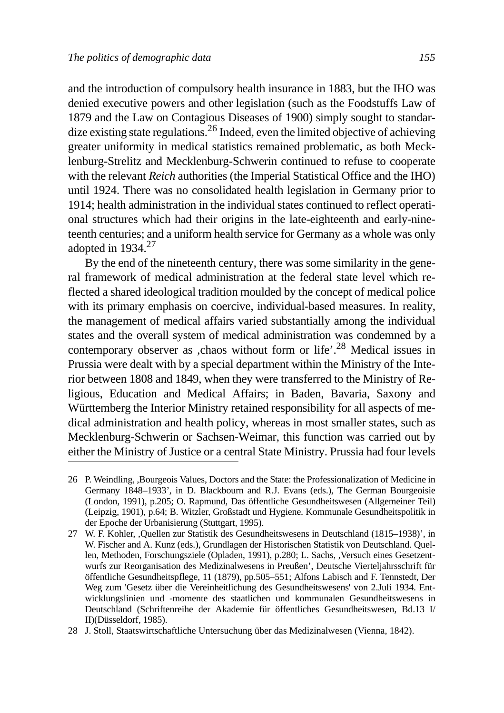and the introduction of compulsory health insurance in 1883, but the IHO was denied executive powers and other legislation (such as the Foodstuffs Law of 1879 and the Law on Contagious Diseases of 1900) simply sought to standardize existing state regulations.<sup>26</sup> Indeed, even the limited objective of achieving greater uniformity in medical statistics remained problematic, as both Mecklenburg-Strelitz and Mecklenburg-Schwerin continued to refuse to cooperate with the relevant *Reich* authorities (the Imperial Statistical Office and the IHO) until 1924. There was no consolidated health legislation in Germany prior to 1914; health administration in the individual states continued to reflect operational structures which had their origins in the late-eighteenth and early-nineteenth centuries; and a uniform health service for Germany as a whole was only adopted in  $1934.<sup>27</sup>$ 

By the end of the nineteenth century, there was some similarity in the general framework of medical administration at the federal state level which reflected a shared ideological tradition moulded by the concept of medical police with its primary emphasis on coercive, individual-based measures. In reality, the management of medical affairs varied substantially among the individual states and the overall system of medical administration was condemned by a contemporary observer as ,chaos without form or life'.<sup>28</sup> Medical issues in Prussia were dealt with by a special department within the Ministry of the Interior between 1808 and 1849, when they were transferred to the Ministry of Religious, Education and Medical Affairs; in Baden, Bavaria, Saxony and Württemberg the Interior Ministry retained responsibility for all aspects of medical administration and health policy, whereas in most smaller states, such as Mecklenburg-Schwerin or Sachsen-Weimar, this function was carried out by either the Ministry of Justice or a central State Ministry. Prussia had four levels

<sup>26</sup> P. Weindling, ,Bourgeois Values, Doctors and the State: the Professionalization of Medicine in Germany 1848–1933', in D. Blackbourn and R.J. Evans (eds.), The German Bourgeoisie (London, 1991), p.205; O. Rapmund, Das öffentliche Gesundheitswesen (Allgemeiner Teil) (Leipzig, 1901), p.64; B. Witzler, Großstadt und Hygiene. Kommunale Gesundheitspolitik in der Epoche der Urbanisierung (Stuttgart, 1995).

<sup>27</sup> W. F. Kohler, ,Quellen zur Statistik des Gesundheitswesens in Deutschland (1815–1938)', in W. Fischer and A. Kunz (eds.), Grundlagen der Historischen Statistik von Deutschland. Quellen, Methoden, Forschungsziele (Opladen, 1991), p.280; L. Sachs, ,Versuch eines Gesetzentwurfs zur Reorganisation des Medizinalwesens in Preußen', Deutsche Vierteljahrsschrift für öffentliche Gesundheitspflege, 11 (1879), pp.505–551; Alfons Labisch and F. Tennstedt, Der Weg zum 'Gesetz über die Vereinheitlichung des Gesundheitswesens' von 2.Juli 1934. Entwicklungslinien und -momente des staatlichen und kommunalen Gesundheitswesens in Deutschland (Schriftenreihe der Akademie für öffentliches Gesundheitswesen, Bd.13 I/ II)(Düsseldorf, 1985).

<sup>28</sup> J. Stoll, Staatswirtschaftliche Untersuchung über das Medizinalwesen (Vienna, 1842).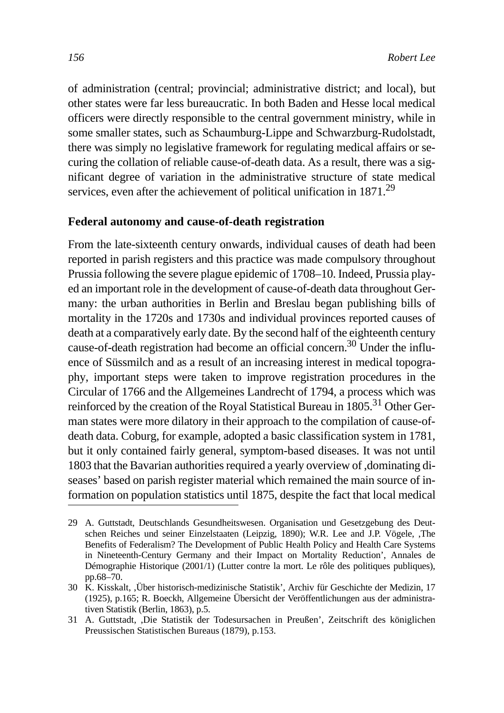of administration (central; provincial; administrative district; and local), but other states were far less bureaucratic. In both Baden and Hesse local medical officers were directly responsible to the central government ministry, while in some smaller states, such as Schaumburg-Lippe and Schwarzburg-Rudolstadt, there was simply no legislative framework for regulating medical affairs or securing the collation of reliable cause-of-death data. As a result, there was a significant degree of variation in the administrative structure of state medical services, even after the achievement of political unification in 1871.<sup>29</sup>

#### **Federal autonomy and cause-of-death registration**

From the late-sixteenth century onwards, individual causes of death had been reported in parish registers and this practice was made compulsory throughout Prussia following the severe plague epidemic of 1708–10. Indeed, Prussia played an important role in the development of cause-of-death data throughout Germany: the urban authorities in Berlin and Breslau began publishing bills of mortality in the 1720s and 1730s and individual provinces reported causes of death at a comparatively early date. By the second half of the eighteenth century cause-of-death registration had become an official concern.30 Under the influence of Süssmilch and as a result of an increasing interest in medical topography, important steps were taken to improve registration procedures in the Circular of 1766 and the Allgemeines Landrecht of 1794, a process which was reinforced by the creation of the Royal Statistical Bureau in 1805.<sup>31</sup> Other German states were more dilatory in their approach to the compilation of cause-ofdeath data. Coburg, for example, adopted a basic classification system in 1781, but it only contained fairly general, symptom-based diseases. It was not until 1803 that the Bavarian authorities required a yearly overview of ,dominating diseases' based on parish register material which remained the main source of information on population statistics until 1875, despite the fact that local medical

<sup>29</sup> A. Guttstadt, Deutschlands Gesundheitswesen. Organisation und Gesetzgebung des Deutschen Reiches und seiner Einzelstaaten (Leipzig, 1890); W.R. Lee and J.P. Vögele, ,The Benefits of Federalism? The Development of Public Health Policy and Health Care Systems in Nineteenth-Century Germany and their Impact on Mortality Reduction', Annales de Démographie Historique (2001/1) (Lutter contre la mort. Le rôle des politiques publiques), pp.68–70.

<sup>30</sup> K. Kisskalt, ,Über historisch-medizinische Statistik', Archiv für Geschichte der Medizin, 17 (1925), p.165; R. Boeckh, Allgemeine Übersicht der Veröffentlichungen aus der administrativen Statistik (Berlin, 1863), p.5.

<sup>31</sup> A. Guttstadt, ,Die Statistik der Todesursachen in Preußen', Zeitschrift des königlichen Preussischen Statistischen Bureaus (1879), p.153.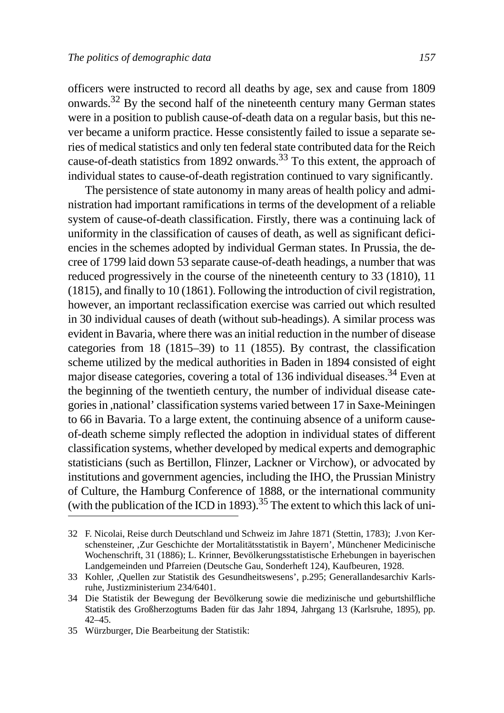officers were instructed to record all deaths by age, sex and cause from 1809 onwards.32 By the second half of the nineteenth century many German states were in a position to publish cause-of-death data on a regular basis, but this never became a uniform practice. Hesse consistently failed to issue a separate series of medical statistics and only ten federal state contributed data for the Reich cause-of-death statistics from 1892 onwards.<sup>33</sup> To this extent, the approach of individual states to cause-of-death registration continued to vary significantly.

The persistence of state autonomy in many areas of health policy and administration had important ramifications in terms of the development of a reliable system of cause-of-death classification. Firstly, there was a continuing lack of uniformity in the classification of causes of death, as well as significant deficiencies in the schemes adopted by individual German states. In Prussia, the decree of 1799 laid down 53 separate cause-of-death headings, a number that was reduced progressively in the course of the nineteenth century to 33 (1810), 11 (1815), and finally to 10 (1861). Following the introduction of civil registration, however, an important reclassification exercise was carried out which resulted in 30 individual causes of death (without sub-headings). A similar process was evident in Bavaria, where there was an initial reduction in the number of disease categories from 18 (1815–39) to 11 (1855). By contrast, the classification scheme utilized by the medical authorities in Baden in 1894 consisted of eight major disease categories, covering a total of 136 individual diseases.34 Even at the beginning of the twentieth century, the number of individual disease categories in ,national' classification systems varied between 17 in Saxe-Meiningen to 66 in Bavaria. To a large extent, the continuing absence of a uniform causeof-death scheme simply reflected the adoption in individual states of different classification systems, whether developed by medical experts and demographic statisticians (such as Bertillon, Flinzer, Lackner or Virchow), or advocated by institutions and government agencies, including the IHO, the Prussian Ministry of Culture, the Hamburg Conference of 1888, or the international community (with the publication of the ICD in 1893).<sup>35</sup> The extent to which this lack of uni-

<sup>32</sup> F. Nicolai, Reise durch Deutschland und Schweiz im Jahre 1871 (Stettin, 1783); J.von Kerschensteiner, ,Zur Geschichte der Mortalitätsstatistik in Bayern', Münchener Medicinische Wochenschrift, 31 (1886); L. Krinner, Bevölkerungsstatistische Erhebungen in bayerischen Landgemeinden und Pfarreien (Deutsche Gau, Sonderheft 124), Kaufbeuren, 1928.

<sup>33</sup> Kohler, ,Quellen zur Statistik des Gesundheitswesens', p.295; Generallandesarchiv Karlsruhe, Justizministerium 234/6401.

<sup>34</sup> Die Statistik der Bewegung der Bevölkerung sowie die medizinische und geburtshilfliche Statistik des Großherzogtums Baden für das Jahr 1894, Jahrgang 13 (Karlsruhe, 1895), pp. 42–45.

<sup>35</sup> Würzburger, Die Bearbeitung der Statistik: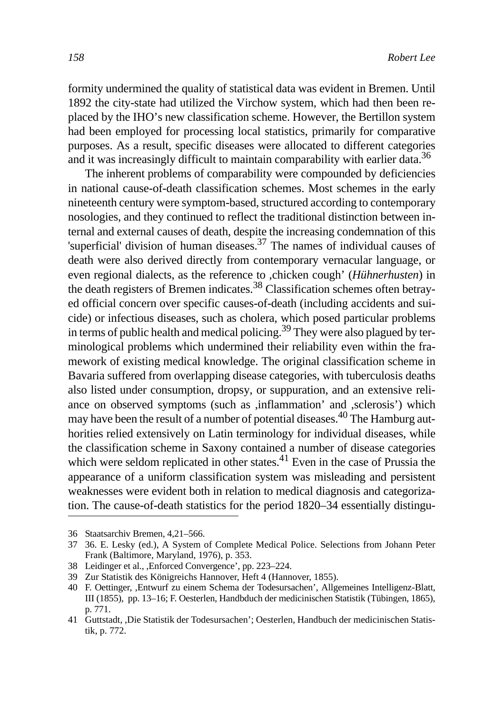formity undermined the quality of statistical data was evident in Bremen. Until 1892 the city-state had utilized the Virchow system, which had then been replaced by the IHO's new classification scheme. However, the Bertillon system had been employed for processing local statistics, primarily for comparative purposes. As a result, specific diseases were allocated to different categories and it was increasingly difficult to maintain comparability with earlier data.<sup>36</sup>

The inherent problems of comparability were compounded by deficiencies in national cause-of-death classification schemes. Most schemes in the early nineteenth century were symptom-based, structured according to contemporary nosologies, and they continued to reflect the traditional distinction between internal and external causes of death, despite the increasing condemnation of this 'superficial' division of human diseases.<sup>37</sup> The names of individual causes of death were also derived directly from contemporary vernacular language, or even regional dialects, as the reference to ,chicken cough' (*Hühnerhusten*) in the death registers of Bremen indicates.<sup>38</sup> Classification schemes often betrayed official concern over specific causes-of-death (including accidents and suicide) or infectious diseases, such as cholera, which posed particular problems in terms of public health and medical policing.<sup>39</sup> They were also plagued by terminological problems which undermined their reliability even within the framework of existing medical knowledge. The original classification scheme in Bavaria suffered from overlapping disease categories, with tuberculosis deaths also listed under consumption, dropsy, or suppuration, and an extensive reliance on observed symptoms (such as ,inflammation' and ,sclerosis') which may have been the result of a number of potential diseases.<sup>40</sup> The Hamburg authorities relied extensively on Latin terminology for individual diseases, while the classification scheme in Saxony contained a number of disease categories which were seldom replicated in other states. $^{41}$  Even in the case of Prussia the appearance of a uniform classification system was misleading and persistent weaknesses were evident both in relation to medical diagnosis and categorization. The cause-of-death statistics for the period 1820–34 essentially distingu-

<sup>36</sup> Staatsarchiv Bremen, 4,21–566.

<sup>37 36.</sup> E. Lesky (ed.), A System of Complete Medical Police. Selections from Johann Peter Frank (Baltimore, Maryland, 1976), p. 353.

<sup>38</sup> Leidinger et al., ,Enforced Convergence', pp. 223–224.

<sup>39</sup> Zur Statistik des Königreichs Hannover, Heft 4 (Hannover, 1855).

<sup>40</sup> F. Oettinger, ,Entwurf zu einem Schema der Todesursachen', Allgemeines Intelligenz-Blatt, III (1855), pp. 13–16; F. Oesterlen, Handbduch der medicinischen Statistik (Tübingen, 1865), p. 771.

<sup>41</sup> Guttstadt, ,Die Statistik der Todesursachen'; Oesterlen, Handbuch der medicinischen Statistik, p. 772.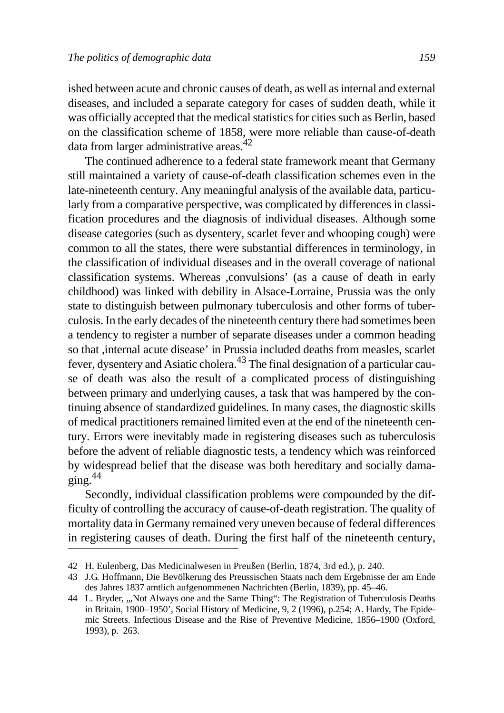ished between acute and chronic causes of death, as well as internal and external diseases, and included a separate category for cases of sudden death, while it was officially accepted that the medical statistics for cities such as Berlin, based on the classification scheme of 1858, were more reliable than cause-of-death data from larger administrative areas.<sup>42</sup>

The continued adherence to a federal state framework meant that Germany still maintained a variety of cause-of-death classification schemes even in the late-nineteenth century. Any meaningful analysis of the available data, particularly from a comparative perspective, was complicated by differences in classification procedures and the diagnosis of individual diseases. Although some disease categories (such as dysentery, scarlet fever and whooping cough) were common to all the states, there were substantial differences in terminology, in the classification of individual diseases and in the overall coverage of national classification systems. Whereas ,convulsions' (as a cause of death in early childhood) was linked with debility in Alsace-Lorraine, Prussia was the only state to distinguish between pulmonary tuberculosis and other forms of tuberculosis. In the early decades of the nineteenth century there had sometimes been a tendency to register a number of separate diseases under a common heading so that ,internal acute disease' in Prussia included deaths from measles, scarlet fever, dysentery and Asiatic cholera.<sup>43</sup> The final designation of a particular cause of death was also the result of a complicated process of distinguishing between primary and underlying causes, a task that was hampered by the continuing absence of standardized guidelines. In many cases, the diagnostic skills of medical practitioners remained limited even at the end of the nineteenth century. Errors were inevitably made in registering diseases such as tuberculosis before the advent of reliable diagnostic tests, a tendency which was reinforced by widespread belief that the disease was both hereditary and socially damaging $.44$ 

Secondly, individual classification problems were compounded by the difficulty of controlling the accuracy of cause-of-death registration. The quality of mortality data in Germany remained very uneven because of federal differences in registering causes of death. During the first half of the nineteenth century,

<sup>42</sup> H. Eulenberg, Das Medicinalwesen in Preußen (Berlin, 1874, 3rd ed.), p. 240.

<sup>43</sup> J.G. Hoffmann, Die Bevölkerung des Preussischen Staats nach dem Ergebnisse der am Ende des Jahres 1837 amtlich aufgenommenen Nachrichten (Berlin, 1839), pp. 45–46.

<sup>44</sup> L. Bryder, "Not Always one and the Same Thing": The Registration of Tuberculosis Deaths in Britain, 1900–1950', Social History of Medicine, 9, 2 (1996), p.254; A. Hardy, The Epidemic Streets. Infectious Disease and the Rise of Preventive Medicine, 1856–1900 (Oxford, 1993), p. 263.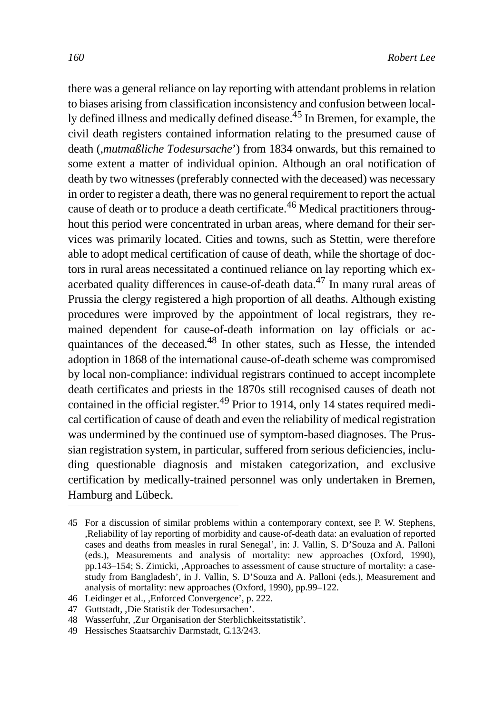there was a general reliance on lay reporting with attendant problems in relation to biases arising from classification inconsistency and confusion between locally defined illness and medically defined disease.45 In Bremen, for example, the civil death registers contained information relating to the presumed cause of death (,*mutmaßliche Todesursache*') from 1834 onwards, but this remained to some extent a matter of individual opinion. Although an oral notification of death by two witnesses (preferably connected with the deceased) was necessary in order to register a death, there was no general requirement to report the actual cause of death or to produce a death certificate.<sup>46</sup> Medical practitioners throughout this period were concentrated in urban areas, where demand for their services was primarily located. Cities and towns, such as Stettin, were therefore able to adopt medical certification of cause of death, while the shortage of doctors in rural areas necessitated a continued reliance on lay reporting which exacerbated quality differences in cause-of-death data.47 In many rural areas of Prussia the clergy registered a high proportion of all deaths. Although existing procedures were improved by the appointment of local registrars, they remained dependent for cause-of-death information on lay officials or acquaintances of the deceased.48 In other states, such as Hesse, the intended adoption in 1868 of the international cause-of-death scheme was compromised by local non-compliance: individual registrars continued to accept incomplete death certificates and priests in the 1870s still recognised causes of death not contained in the official register.<sup>49</sup> Prior to 1914, only 14 states required medical certification of cause of death and even the reliability of medical registration was undermined by the continued use of symptom-based diagnoses. The Prussian registration system, in particular, suffered from serious deficiencies, including questionable diagnosis and mistaken categorization, and exclusive certification by medically-trained personnel was only undertaken in Bremen, Hamburg and Lübeck.

<sup>45</sup> For a discussion of similar problems within a contemporary context, see P. W. Stephens, ,Reliability of lay reporting of morbidity and cause-of-death data: an evaluation of reported cases and deaths from measles in rural Senegal', in: J. Vallin, S. D'Souza and A. Palloni (eds.), Measurements and analysis of mortality: new approaches (Oxford, 1990), pp.143–154; S. Zimicki, ,Approaches to assessment of cause structure of mortality: a casestudy from Bangladesh', in J. Vallin, S. D'Souza and A. Palloni (eds.), Measurement and analysis of mortality: new approaches (Oxford, 1990), pp.99–122.

<sup>46</sup> Leidinger et al., ,Enforced Convergence', p. 222.

<sup>47</sup> Guttstadt, ,Die Statistik der Todesursachen'.

<sup>48</sup> Wasserfuhr, ,Zur Organisation der Sterblichkeitsstatistik'.

<sup>49</sup> Hessisches Staatsarchiv Darmstadt, G.13/243.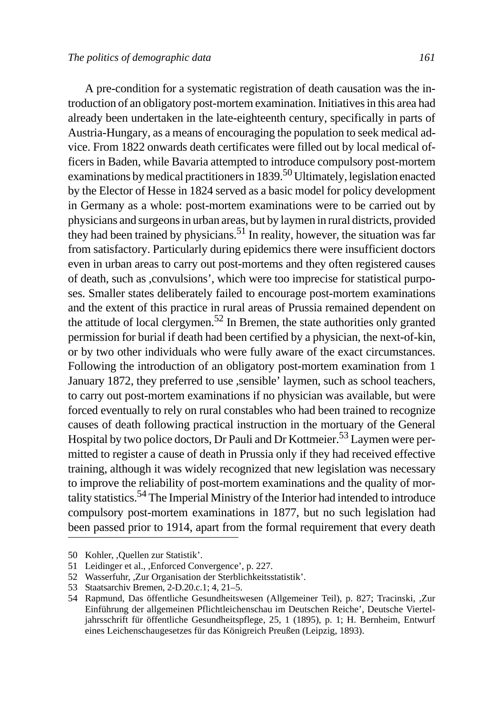A pre-condition for a systematic registration of death causation was the introduction of an obligatory post-mortem examination. Initiatives in this area had already been undertaken in the late-eighteenth century, specifically in parts of Austria-Hungary, as a means of encouraging the population to seek medical advice. From 1822 onwards death certificates were filled out by local medical officers in Baden, while Bavaria attempted to introduce compulsory post-mortem examinations by medical practitioners in  $1839$ <sup>50</sup> Ultimately, legislation enacted by the Elector of Hesse in 1824 served as a basic model for policy development in Germany as a whole: post-mortem examinations were to be carried out by physicians and surgeons in urban areas, but by laymen in rural districts, provided they had been trained by physicians.<sup>51</sup> In reality, however, the situation was far from satisfactory. Particularly during epidemics there were insufficient doctors even in urban areas to carry out post-mortems and they often registered causes of death, such as ,convulsions', which were too imprecise for statistical purposes. Smaller states deliberately failed to encourage post-mortem examinations and the extent of this practice in rural areas of Prussia remained dependent on the attitude of local clergymen.<sup>52</sup> In Bremen, the state authorities only granted permission for burial if death had been certified by a physician, the next-of-kin, or by two other individuals who were fully aware of the exact circumstances. Following the introduction of an obligatory post-mortem examination from 1 January 1872, they preferred to use , sensible' laymen, such as school teachers, to carry out post-mortem examinations if no physician was available, but were forced eventually to rely on rural constables who had been trained to recognize causes of death following practical instruction in the mortuary of the General Hospital by two police doctors, Dr Pauli and Dr Kottmeier.<sup>53</sup> Laymen were permitted to register a cause of death in Prussia only if they had received effective training, although it was widely recognized that new legislation was necessary to improve the reliability of post-mortem examinations and the quality of mortality statistics.54 The Imperial Ministry of the Interior had intended to introduce compulsory post-mortem examinations in 1877, but no such legislation had

been passed prior to 1914, apart from the formal requirement that every death

<sup>50</sup> Kohler, ,Quellen zur Statistik'.

<sup>51</sup> Leidinger et al., ,Enforced Convergence', p. 227.

<sup>52</sup> Wasserfuhr, ,Zur Organisation der Sterblichkeitsstatistik'.

<sup>53</sup> Staatsarchiv Bremen, 2-D.20.c.1; 4, 21–5.

<sup>54</sup> Rapmund, Das öffentliche Gesundheitswesen (Allgemeiner Teil), p. 827; Tracinski, ,Zur Einführung der allgemeinen Pflichtleichenschau im Deutschen Reiche', Deutsche Vierteljahrsschrift für öffentliche Gesundheitspflege, 25, 1 (1895), p. 1; H. Bernheim, Entwurf eines Leichenschaugesetzes für das Königreich Preußen (Leipzig, 1893).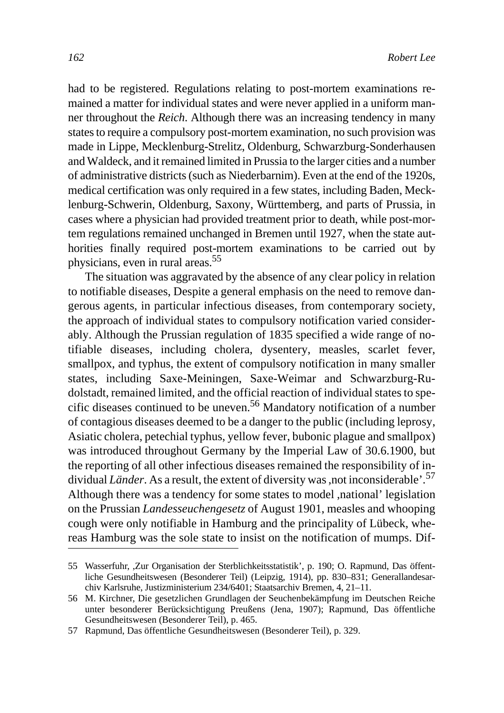had to be registered. Regulations relating to post-mortem examinations remained a matter for individual states and were never applied in a uniform manner throughout the *Reich*. Although there was an increasing tendency in many states to require a compulsory post-mortem examination, no such provision was made in Lippe, Mecklenburg-Strelitz, Oldenburg, Schwarzburg-Sonderhausen and Waldeck, and it remained limited in Prussia to the larger cities and a number of administrative districts (such as Niederbarnim). Even at the end of the 1920s, medical certification was only required in a few states, including Baden, Mecklenburg-Schwerin, Oldenburg, Saxony, Württemberg, and parts of Prussia, in cases where a physician had provided treatment prior to death, while post-mortem regulations remained unchanged in Bremen until 1927, when the state authorities finally required post-mortem examinations to be carried out by physicians, even in rural areas.55

The situation was aggravated by the absence of any clear policy in relation to notifiable diseases, Despite a general emphasis on the need to remove dangerous agents, in particular infectious diseases, from contemporary society, the approach of individual states to compulsory notification varied considerably. Although the Prussian regulation of 1835 specified a wide range of notifiable diseases, including cholera, dysentery, measles, scarlet fever, smallpox, and typhus, the extent of compulsory notification in many smaller states, including Saxe-Meiningen, Saxe-Weimar and Schwarzburg-Rudolstadt, remained limited, and the official reaction of individual states to specific diseases continued to be uneven.<sup>56</sup> Mandatory notification of a number of contagious diseases deemed to be a danger to the public (including leprosy, Asiatic cholera, petechial typhus, yellow fever, bubonic plague and smallpox) was introduced throughout Germany by the Imperial Law of 30.6.1900, but the reporting of all other infectious diseases remained the responsibility of individual *Länder*. As a result, the extent of diversity was ,not inconsiderable<sup>57</sup>. Although there was a tendency for some states to model ,national' legislation on the Prussian *Landesseuchengesetz* of August 1901, measles and whooping cough were only notifiable in Hamburg and the principality of Lübeck, whereas Hamburg was the sole state to insist on the notification of mumps. Dif-

<sup>55</sup> Wasserfuhr, ,Zur Organisation der Sterblichkeitsstatistik', p. 190; O. Rapmund, Das öffentliche Gesundheitswesen (Besonderer Teil) (Leipzig, 1914), pp. 830–831; Generallandesarchiv Karlsruhe, Justizministerium 234/6401; Staatsarchiv Bremen, 4, 21–11.

<sup>56</sup> M. Kirchner, Die gesetzlichen Grundlagen der Seuchenbekämpfung im Deutschen Reiche unter besonderer Berücksichtigung Preußens (Jena, 1907); Rapmund, Das öffentliche Gesundheitswesen (Besonderer Teil), p. 465.

<sup>57</sup> Rapmund, Das öffentliche Gesundheitswesen (Besonderer Teil), p. 329.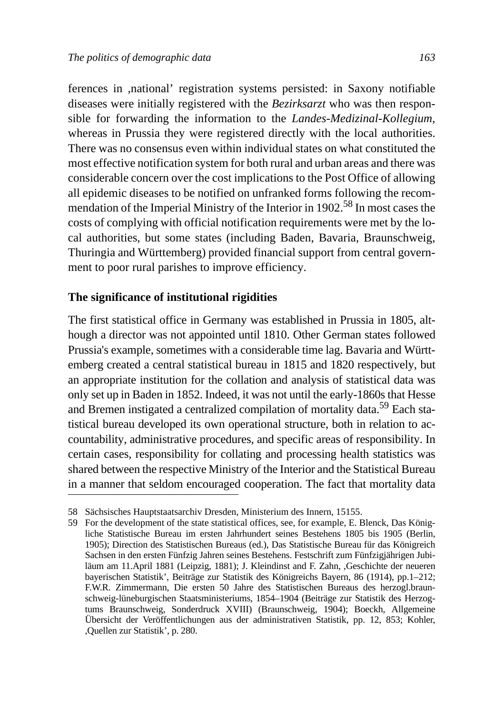ferences in ,national' registration systems persisted: in Saxony notifiable diseases were initially registered with the *Bezirksarzt* who was then responsible for forwarding the information to the *Landes-Medizinal-Kollegium*, whereas in Prussia they were registered directly with the local authorities. There was no consensus even within individual states on what constituted the most effective notification system for both rural and urban areas and there was considerable concern over the cost implications to the Post Office of allowing all epidemic diseases to be notified on unfranked forms following the recommendation of the Imperial Ministry of the Interior in 1902.58 In most cases the costs of complying with official notification requirements were met by the local authorities, but some states (including Baden, Bavaria, Braunschweig, Thuringia and Württemberg) provided financial support from central government to poor rural parishes to improve efficiency.

#### **The significance of institutional rigidities**

The first statistical office in Germany was established in Prussia in 1805, although a director was not appointed until 1810. Other German states followed Prussia's example, sometimes with a considerable time lag. Bavaria and Württemberg created a central statistical bureau in 1815 and 1820 respectively, but an appropriate institution for the collation and analysis of statistical data was only set up in Baden in 1852. Indeed, it was not until the early-1860s that Hesse and Bremen instigated a centralized compilation of mortality data.59 Each statistical bureau developed its own operational structure, both in relation to accountability, administrative procedures, and specific areas of responsibility. In certain cases, responsibility for collating and processing health statistics was shared between the respective Ministry of the Interior and the Statistical Bureau in a manner that seldom encouraged cooperation. The fact that mortality data

<sup>58</sup> Sächsisches Hauptstaatsarchiv Dresden, Ministerium des Innern, 15155.

<sup>59</sup> For the development of the state statistical offices, see, for example, E. Blenck, Das Königliche Statistische Bureau im ersten Jahrhundert seines Bestehens 1805 bis 1905 (Berlin, 1905); Direction des Statistischen Bureaus (ed.), Das Statistische Bureau für das Königreich Sachsen in den ersten Fünfzig Jahren seines Bestehens. Festschrift zum Fünfzigjährigen Jubiläum am 11.April 1881 (Leipzig, 1881); J. Kleindinst and F. Zahn, ,Geschichte der neueren bayerischen Statistik', Beiträge zur Statistik des Königreichs Bayern, 86 (1914), pp.1–212; F.W.R. Zimmermann, Die ersten 50 Jahre des Statistischen Bureaus des herzogl.braunschweig-lüneburgischen Staatsministeriums, 1854–1904 (Beiträge zur Statistik des Herzogtums Braunschweig, Sonderdruck XVIII) (Braunschweig, 1904); Boeckh, Allgemeine Übersicht der Veröffentlichungen aus der administrativen Statistik, pp. 12, 853; Kohler, ,Quellen zur Statistik', p. 280.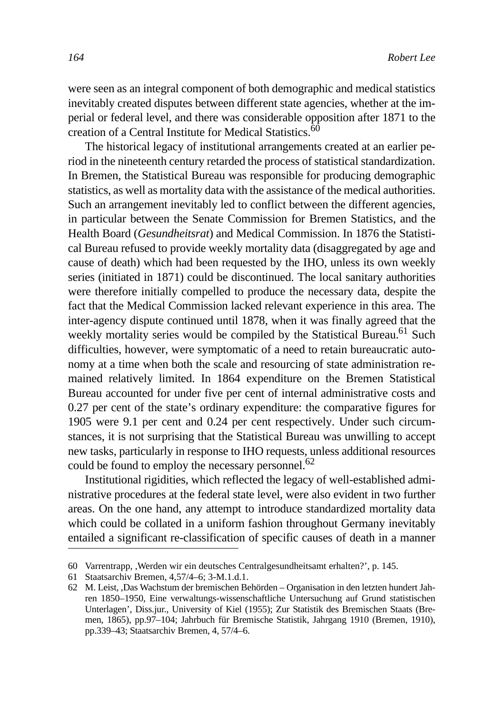were seen as an integral component of both demographic and medical statistics inevitably created disputes between different state agencies, whether at the imperial or federal level, and there was considerable opposition after 1871 to the creation of a Central Institute for Medical Statistics.<sup>60</sup>

The historical legacy of institutional arrangements created at an earlier period in the nineteenth century retarded the process of statistical standardization. In Bremen, the Statistical Bureau was responsible for producing demographic statistics, as well as mortality data with the assistance of the medical authorities. Such an arrangement inevitably led to conflict between the different agencies, in particular between the Senate Commission for Bremen Statistics, and the Health Board (*Gesundheitsrat*) and Medical Commission. In 1876 the Statistical Bureau refused to provide weekly mortality data (disaggregated by age and cause of death) which had been requested by the IHO, unless its own weekly series (initiated in 1871) could be discontinued. The local sanitary authorities were therefore initially compelled to produce the necessary data, despite the fact that the Medical Commission lacked relevant experience in this area. The inter-agency dispute continued until 1878, when it was finally agreed that the weekly mortality series would be compiled by the Statistical Bureau.<sup>61</sup> Such difficulties, however, were symptomatic of a need to retain bureaucratic autonomy at a time when both the scale and resourcing of state administration remained relatively limited. In 1864 expenditure on the Bremen Statistical Bureau accounted for under five per cent of internal administrative costs and 0.27 per cent of the state's ordinary expenditure: the comparative figures for 1905 were 9.1 per cent and 0.24 per cent respectively. Under such circumstances, it is not surprising that the Statistical Bureau was unwilling to accept new tasks, particularly in response to IHO requests, unless additional resources could be found to employ the necessary personnel.<sup>62</sup>

Institutional rigidities, which reflected the legacy of well-established administrative procedures at the federal state level, were also evident in two further areas. On the one hand, any attempt to introduce standardized mortality data which could be collated in a uniform fashion throughout Germany inevitably entailed a significant re-classification of specific causes of death in a manner

<sup>60</sup> Varrentrapp, ,Werden wir ein deutsches Centralgesundheitsamt erhalten?', p. 145.

<sup>61</sup> Staatsarchiv Bremen, 4,57/4–6; 3-M.1.d.1.

<sup>62</sup> M. Leist, ,Das Wachstum der bremischen Behörden – Organisation in den letzten hundert Jahren 1850–1950, Eine verwaltungs-wissenschaftliche Untersuchung auf Grund statistischen Unterlagen', Diss.jur., University of Kiel (1955); Zur Statistik des Bremischen Staats (Bremen, 1865), pp.97–104; Jahrbuch für Bremische Statistik, Jahrgang 1910 (Bremen, 1910), pp.339–43; Staatsarchiv Bremen, 4, 57/4–6.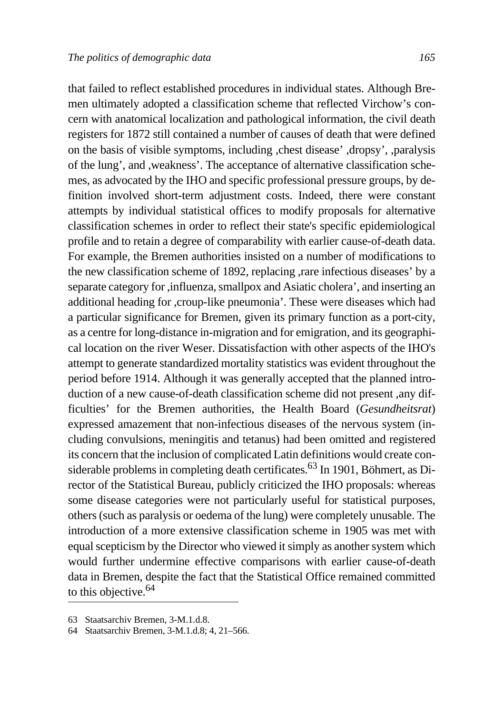that failed to reflect established procedures in individual states. Although Bremen ultimately adopted a classification scheme that reflected Virchow's concern with anatomical localization and pathological information, the civil death registers for 1872 still contained a number of causes of death that were defined on the basis of visible symptoms, including ,chest disease' ,dropsy', ,paralysis of the lung', and ,weakness'. The acceptance of alternative classification schemes, as advocated by the IHO and specific professional pressure groups, by definition involved short-term adjustment costs. Indeed, there were constant attempts by individual statistical offices to modify proposals for alternative classification schemes in order to reflect their state's specific epidemiological profile and to retain a degree of comparability with earlier cause-of-death data. For example, the Bremen authorities insisted on a number of modifications to the new classification scheme of 1892, replacing ,rare infectious diseases' by a separate category for ,influenza, smallpox and Asiatic cholera', and inserting an additional heading for ,croup-like pneumonia'. These were diseases which had a particular significance for Bremen, given its primary function as a port-city, as a centre for long-distance in-migration and for emigration, and its geographical location on the river Weser. Dissatisfaction with other aspects of the IHO's attempt to generate standardized mortality statistics was evident throughout the period before 1914. Although it was generally accepted that the planned introduction of a new cause-of-death classification scheme did not present ,any difficulties' for the Bremen authorities, the Health Board (*Gesundheitsrat*) expressed amazement that non-infectious diseases of the nervous system (including convulsions, meningitis and tetanus) had been omitted and registered its concern that the inclusion of complicated Latin definitions would create considerable problems in completing death certificates.<sup>63</sup> In 1901, Böhmert, as Director of the Statistical Bureau, publicly criticized the IHO proposals: whereas some disease categories were not particularly useful for statistical purposes, others (such as paralysis or oedema of the lung) were completely unusable. The introduction of a more extensive classification scheme in 1905 was met with equal scepticism by the Director who viewed it simply as another system which would further undermine effective comparisons with earlier cause-of-death data in Bremen, despite the fact that the Statistical Office remained committed to this objective.<sup>64</sup>

<sup>63</sup> Staatsarchiv Bremen, 3-M.1.d.8.

<sup>64</sup> Staatsarchiv Bremen, 3-M.1.d.8; 4, 21–566.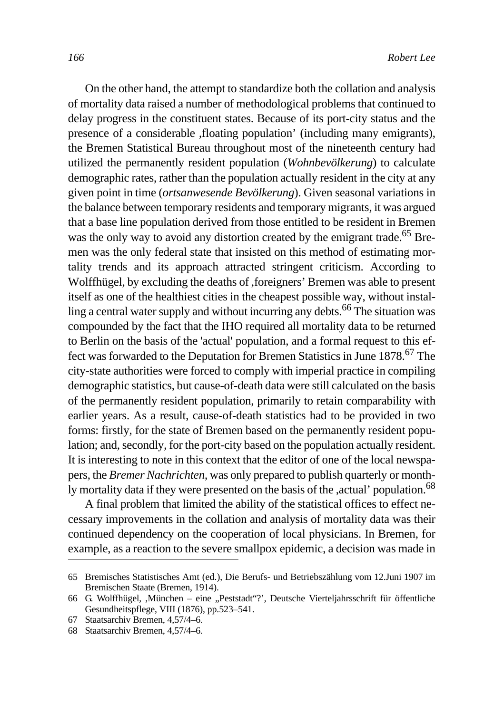On the other hand, the attempt to standardize both the collation and analysis of mortality data raised a number of methodological problems that continued to delay progress in the constituent states. Because of its port-city status and the presence of a considerable ,floating population' (including many emigrants), the Bremen Statistical Bureau throughout most of the nineteenth century had utilized the permanently resident population (*Wohnbevölkerung*) to calculate demographic rates, rather than the population actually resident in the city at any given point in time (*ortsanwesende Bevölkerung*). Given seasonal variations in the balance between temporary residents and temporary migrants, it was argued that a base line population derived from those entitled to be resident in Bremen was the only way to avoid any distortion created by the emigrant trade.<sup>65</sup> Bremen was the only federal state that insisted on this method of estimating mortality trends and its approach attracted stringent criticism. According to Wolffhügel, by excluding the deaths of ,foreigners' Bremen was able to present itself as one of the healthiest cities in the cheapest possible way, without installing a central water supply and without incurring any debts.<sup>66</sup> The situation was compounded by the fact that the IHO required all mortality data to be returned to Berlin on the basis of the 'actual' population, and a formal request to this effect was forwarded to the Deputation for Bremen Statistics in June 1878.67 The city-state authorities were forced to comply with imperial practice in compiling demographic statistics, but cause-of-death data were still calculated on the basis of the permanently resident population, primarily to retain comparability with earlier years. As a result, cause-of-death statistics had to be provided in two forms: firstly, for the state of Bremen based on the permanently resident population; and, secondly, for the port-city based on the population actually resident. It is interesting to note in this context that the editor of one of the local newspapers, the *Bremer Nachrichten*, was only prepared to publish quarterly or monthly mortality data if they were presented on the basis of the ,actual' population.<sup>68</sup>

A final problem that limited the ability of the statistical offices to effect necessary improvements in the collation and analysis of mortality data was their continued dependency on the cooperation of local physicians. In Bremen, for example, as a reaction to the severe smallpox epidemic, a decision was made in

<sup>65</sup> Bremisches Statistisches Amt (ed.), Die Berufs- und Betriebszählung vom 12.Juni 1907 im Bremischen Staate (Bremen, 1914).

<sup>66</sup> G. Wolffhügel, ,München – eine "Peststadt"?, Deutsche Vierteljahrsschrift für öffentliche Gesundheitspflege, VIII (1876), pp.523–541.

<sup>67</sup> Staatsarchiv Bremen, 4,57/4–6.

<sup>68</sup> Staatsarchiv Bremen, 4,57/4–6.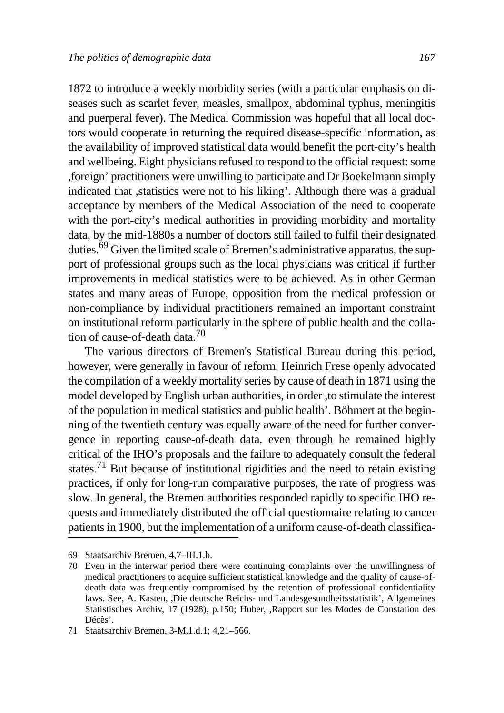1872 to introduce a weekly morbidity series (with a particular emphasis on diseases such as scarlet fever, measles, smallpox, abdominal typhus, meningitis and puerperal fever). The Medical Commission was hopeful that all local doctors would cooperate in returning the required disease-specific information, as the availability of improved statistical data would benefit the port-city's health and wellbeing. Eight physicians refused to respond to the official request: some ,foreign' practitioners were unwilling to participate and Dr Boekelmann simply indicated that ,statistics were not to his liking'. Although there was a gradual acceptance by members of the Medical Association of the need to cooperate with the port-city's medical authorities in providing morbidity and mortality data, by the mid-1880s a number of doctors still failed to fulfil their designated duties.<sup>69</sup> Given the limited scale of Bremen's administrative apparatus, the support of professional groups such as the local physicians was critical if further improvements in medical statistics were to be achieved. As in other German states and many areas of Europe, opposition from the medical profession or non-compliance by individual practitioners remained an important constraint on institutional reform particularly in the sphere of public health and the collation of cause-of-death data.<sup>70</sup>

The various directors of Bremen's Statistical Bureau during this period, however, were generally in favour of reform. Heinrich Frese openly advocated the compilation of a weekly mortality series by cause of death in 1871 using the model developed by English urban authorities, in order ,to stimulate the interest of the population in medical statistics and public health'. Böhmert at the beginning of the twentieth century was equally aware of the need for further convergence in reporting cause-of-death data, even through he remained highly critical of the IHO's proposals and the failure to adequately consult the federal states.<sup>71</sup> But because of institutional rigidities and the need to retain existing practices, if only for long-run comparative purposes, the rate of progress was slow. In general, the Bremen authorities responded rapidly to specific IHO requests and immediately distributed the official questionnaire relating to cancer patients in 1900, but the implementation of a uniform cause-of-death classifica-

<sup>69</sup> Staatsarchiv Bremen, 4,7–III.1.b.

<sup>70</sup> Even in the interwar period there were continuing complaints over the unwillingness of medical practitioners to acquire sufficient statistical knowledge and the quality of cause-ofdeath data was frequently compromised by the retention of professional confidentiality laws. See, A. Kasten, ,Die deutsche Reichs- und Landesgesundheitsstatistik', Allgemeines Statistisches Archiv, 17 (1928), p.150; Huber, ,Rapport sur les Modes de Constation des Décès'.

<sup>71</sup> Staatsarchiv Bremen, 3-M.1.d.1; 4,21–566.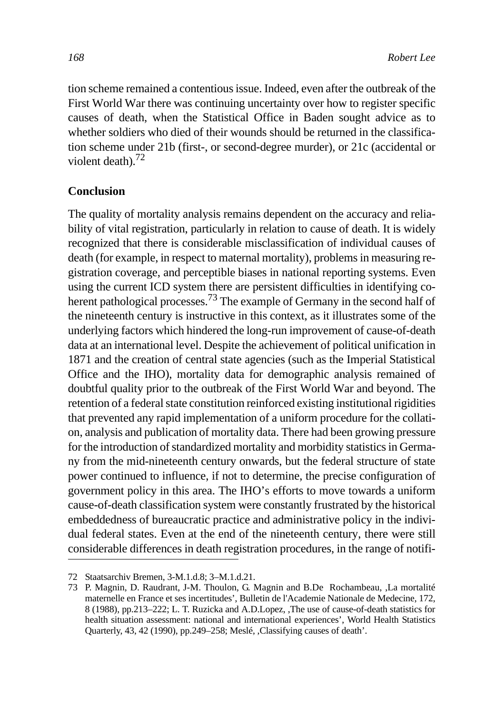tion scheme remained a contentious issue. Indeed, even after the outbreak of the First World War there was continuing uncertainty over how to register specific causes of death, when the Statistical Office in Baden sought advice as to whether soldiers who died of their wounds should be returned in the classification scheme under 21b (first-, or second-degree murder), or 21c (accidental or violent death). $72$ 

### **Conclusion**

The quality of mortality analysis remains dependent on the accuracy and reliability of vital registration, particularly in relation to cause of death. It is widely recognized that there is considerable misclassification of individual causes of death (for example, in respect to maternal mortality), problems in measuring registration coverage, and perceptible biases in national reporting systems. Even using the current ICD system there are persistent difficulties in identifying coherent pathological processes.<sup>73</sup> The example of Germany in the second half of the nineteenth century is instructive in this context, as it illustrates some of the underlying factors which hindered the long-run improvement of cause-of-death data at an international level. Despite the achievement of political unification in 1871 and the creation of central state agencies (such as the Imperial Statistical Office and the IHO), mortality data for demographic analysis remained of doubtful quality prior to the outbreak of the First World War and beyond. The retention of a federal state constitution reinforced existing institutional rigidities that prevented any rapid implementation of a uniform procedure for the collation, analysis and publication of mortality data. There had been growing pressure for the introduction of standardized mortality and morbidity statistics in Germany from the mid-nineteenth century onwards, but the federal structure of state power continued to influence, if not to determine, the precise configuration of government policy in this area. The IHO's efforts to move towards a uniform cause-of-death classification system were constantly frustrated by the historical embeddedness of bureaucratic practice and administrative policy in the individual federal states. Even at the end of the nineteenth century, there were still considerable differences in death registration procedures, in the range of notifi-

<sup>72</sup> Staatsarchiv Bremen, 3-M.1.d.8; 3–M.1.d.21.

<sup>73</sup> P. Magnin, D. Raudrant, J-M. Thoulon, G. Magnin and B.De Rochambeau, ,La mortalité maternelle en France et ses incertitudes', Bulletin de l'Academie Nationale de Medecine, 172, 8 (1988), pp.213–222; L. T. Ruzicka and A.D.Lopez, ,The use of cause-of-death statistics for health situation assessment: national and international experiences', World Health Statistics Quarterly, 43, 42 (1990), pp.249–258; Meslé, ,Classifying causes of death'.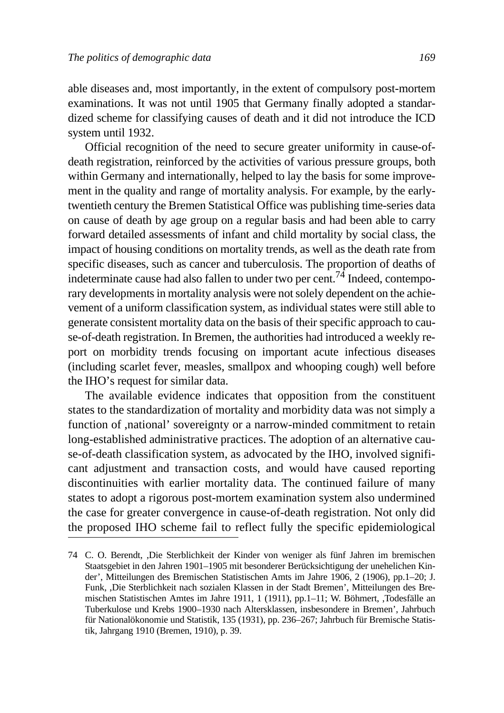able diseases and, most importantly, in the extent of compulsory post-mortem examinations. It was not until 1905 that Germany finally adopted a standardized scheme for classifying causes of death and it did not introduce the ICD system until 1932.

Official recognition of the need to secure greater uniformity in cause-ofdeath registration, reinforced by the activities of various pressure groups, both within Germany and internationally, helped to lay the basis for some improvement in the quality and range of mortality analysis. For example, by the earlytwentieth century the Bremen Statistical Office was publishing time-series data on cause of death by age group on a regular basis and had been able to carry forward detailed assessments of infant and child mortality by social class, the impact of housing conditions on mortality trends, as well as the death rate from specific diseases, such as cancer and tuberculosis. The proportion of deaths of indeterminate cause had also fallen to under two per cent.<sup>74</sup> Indeed, contemporary developments in mortality analysis were not solely dependent on the achievement of a uniform classification system, as individual states were still able to generate consistent mortality data on the basis of their specific approach to cause-of-death registration. In Bremen, the authorities had introduced a weekly report on morbidity trends focusing on important acute infectious diseases (including scarlet fever, measles, smallpox and whooping cough) well before the IHO's request for similar data.

The available evidence indicates that opposition from the constituent states to the standardization of mortality and morbidity data was not simply a function of ,national' sovereignty or a narrow-minded commitment to retain long-established administrative practices. The adoption of an alternative cause-of-death classification system, as advocated by the IHO, involved significant adjustment and transaction costs, and would have caused reporting discontinuities with earlier mortality data. The continued failure of many states to adopt a rigorous post-mortem examination system also undermined the case for greater convergence in cause-of-death registration. Not only did the proposed IHO scheme fail to reflect fully the specific epidemiological

<sup>74</sup> C. O. Berendt, ,Die Sterblichkeit der Kinder von weniger als fünf Jahren im bremischen Staatsgebiet in den Jahren 1901–1905 mit besonderer Berücksichtigung der unehelichen Kinder', Mitteilungen des Bremischen Statistischen Amts im Jahre 1906, 2 (1906), pp.1–20; J. Funk, ,Die Sterblichkeit nach sozialen Klassen in der Stadt Bremen', Mitteilungen des Bremischen Statistischen Amtes im Jahre 1911, 1 (1911), pp.1–11; W. Böhmert, ,Todesfälle an Tuberkulose und Krebs 1900–1930 nach Altersklassen, insbesondere in Bremen', Jahrbuch für Nationalökonomie und Statistik, 135 (1931), pp. 236–267; Jahrbuch für Bremische Statistik, Jahrgang 1910 (Bremen, 1910), p. 39.